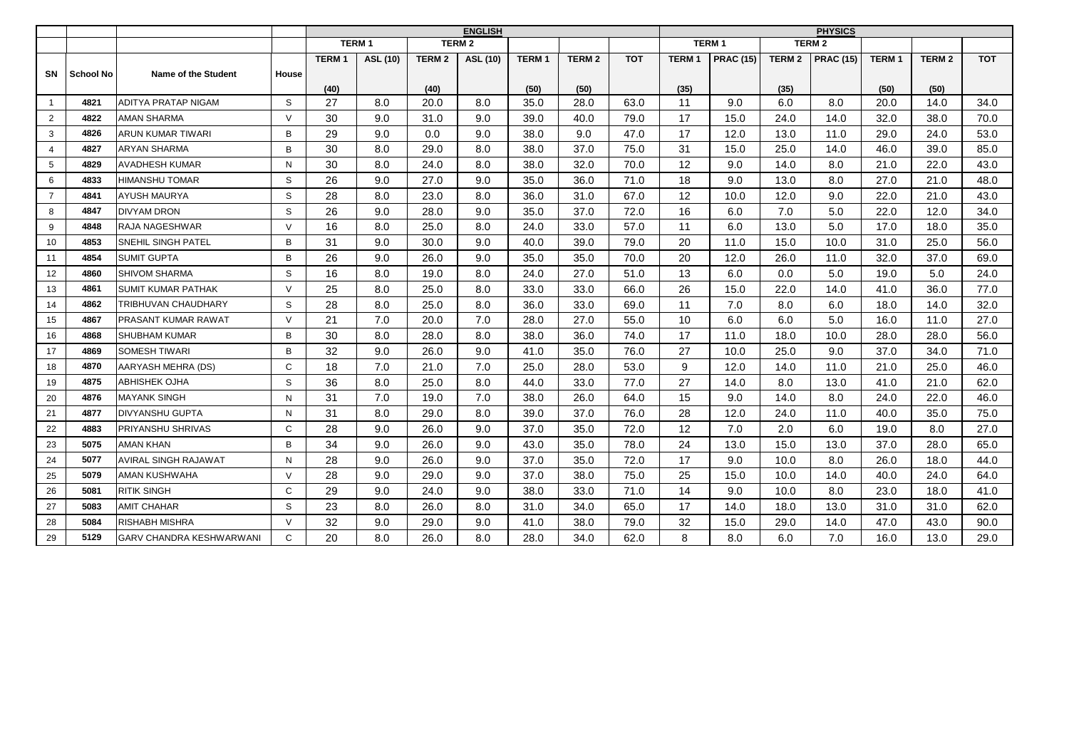|                |                  |                                 |        | <b>ENGLISH</b> |                                        |               |          |              |               |            |              | <b>PHYSICS</b>   |               |                   |              |               |            |  |
|----------------|------------------|---------------------------------|--------|----------------|----------------------------------------|---------------|----------|--------------|---------------|------------|--------------|------------------|---------------|-------------------|--------------|---------------|------------|--|
|                |                  |                                 |        |                | TERM <sub>1</sub><br>TERM <sub>2</sub> |               |          |              |               |            |              | <b>TERM1</b>     |               | TERM <sub>2</sub> |              |               |            |  |
|                |                  |                                 |        | <b>TERM1</b>   | ASL (10)                               | <b>TERM 2</b> | ASL (10) | <b>TERM1</b> | <b>TERM 2</b> | <b>TOT</b> | <b>TERM1</b> | <b>PRAC (15)</b> | <b>TERM 2</b> | <b>PRAC (15)</b>  | <b>TERM1</b> | <b>TERM 2</b> | <b>TOT</b> |  |
| SN             | <b>School No</b> | Name of the Student             | House  |                |                                        |               |          |              |               |            |              |                  |               |                   |              |               |            |  |
|                |                  |                                 |        | (40)           |                                        | (40)          |          | (50)         | (50)          |            | (35)         |                  | (35)          |                   | (50)         | (50)          |            |  |
| $\mathbf{1}$   | 4821             | ADITYA PRATAP NIGAM             | S      | 27             | 8.0                                    | 20.0          | 8.0      | 35.0         | 28.0          | 63.0       | 11           | 9.0              | 6.0           | 8.0               | 20.0         | 14.0          | 34.0       |  |
| $\overline{2}$ | 4822             | AMAN SHARMA                     | $\vee$ | 30             | 9.0                                    | 31.0          | 9.0      | 39.0         | 40.0          | 79.0       | 17           | 15.0             | 24.0          | 14.0              | 32.0         | 38.0          | 70.0       |  |
| 3              | 4826             | ARUN KUMAR TIWARI               | B      | 29             | 9.0                                    | 0.0           | 9.0      | 38.0         | 9.0           | 47.0       | 17           | 12.0             | 13.0          | 11.0              | 29.0         | 24.0          | 53.0       |  |
| $\overline{4}$ | 4827             | ARYAN SHARMA                    | B      | 30             | 8.0                                    | 29.0          | 8.0      | 38.0         | 37.0          | 75.0       | 31           | 15.0             | 25.0          | 14.0              | 46.0         | 39.0          | 85.0       |  |
| 5              | 4829             | <b>AVADHESH KUMAR</b>           | N      | 30             | 8.0                                    | 24.0          | 8.0      | 38.0         | 32.0          | 70.0       | 12           | 9.0              | 14.0          | 8.0               | 21.0         | 22.0          | 43.0       |  |
| 6              | 4833             | <b>HIMANSHU TOMAR</b>           | S      | 26             | 9.0                                    | 27.0          | 9.0      | 35.0         | 36.0          | 71.0       | 18           | 9.0              | 13.0          | 8.0               | 27.0         | 21.0          | 48.0       |  |
| $\overline{7}$ | 4841             | <b>AYUSH MAURYA</b>             | S      | 28             | 8.0                                    | 23.0          | 8.0      | 36.0         | 31.0          | 67.0       | 12           | 10.0             | 12.0          | 9.0               | 22.0         | 21.0          | 43.0       |  |
| 8              | 4847             | <b>DIVYAM DRON</b>              | S      | 26             | 9.0                                    | 28.0          | 9.0      | 35.0         | 37.0          | 72.0       | 16           | 6.0              | 7.0           | 5.0               | 22.0         | 12.0          | 34.0       |  |
| 9              | 4848             | RAJA NAGESHWAR                  | $\vee$ | 16             | 8.0                                    | 25.0          | 8.0      | 24.0         | 33.0          | 57.0       | 11           | 6.0              | 13.0          | 5.0               | 17.0         | 18.0          | 35.0       |  |
| 10             | 4853             | SNEHIL SINGH PATEL              | B      | 31             | 9.0                                    | 30.0          | 9.0      | 40.0         | 39.0          | 79.0       | 20           | 11.0             | 15.0          | 10.0              | 31.0         | 25.0          | 56.0       |  |
| 11             | 4854             | <b>SUMIT GUPTA</b>              | B      | 26             | 9.0                                    | 26.0          | 9.0      | 35.0         | 35.0          | 70.0       | 20           | 12.0             | 26.0          | 11.0              | 32.0         | 37.0          | 69.0       |  |
| 12             | 4860             | <b>SHIVOM SHARMA</b>            | S      | 16             | 8.0                                    | 19.0          | 8.0      | 24.0         | 27.0          | 51.0       | 13           | 6.0              | 0.0           | 5.0               | 19.0         | 5.0           | 24.0       |  |
| 13             | 4861             | <b>SUMIT KUMAR PATHAK</b>       | $\vee$ | 25             | 8.0                                    | 25.0          | 8.0      | 33.0         | 33.0          | 66.0       | 26           | 15.0             | 22.0          | 14.0              | 41.0         | 36.0          | 77.0       |  |
| 14             | 4862             | TRIBHUVAN CHAUDHARY             | S      | 28             | 8.0                                    | 25.0          | 8.0      | 36.0         | 33.0          | 69.0       | 11           | 7.0              | 8.0           | 6.0               | 18.0         | 14.0          | 32.0       |  |
| 15             | 4867             | <b>PRASANT KUMAR RAWAT</b>      | $\vee$ | 21             | 7.0                                    | 20.0          | 7.0      | 28.0         | 27.0          | 55.0       | 10           | 6.0              | 6.0           | 5.0               | 16.0         | 11.0          | 27.0       |  |
| 16             | 4868             | <b>SHUBHAM KUMAR</b>            | B      | 30             | 8.0                                    | 28.0          | 8.0      | 38.0         | 36.0          | 74.0       | 17           | 11.0             | 18.0          | 10.0              | 28.0         | 28.0          | 56.0       |  |
| 17             | 4869             | <b>SOMESH TIWARI</b>            | B      | 32             | 9.0                                    | 26.0          | 9.0      | 41.0         | 35.0          | 76.0       | 27           | 10.0             | 25.0          | 9.0               | 37.0         | 34.0          | 71.0       |  |
| 18             | 4870             | AARYASH MEHRA (DS)              | C      | 18             | 7.0                                    | 21.0          | 7.0      | 25.0         | 28.0          | 53.0       | 9            | 12.0             | 14.0          | 11.0              | 21.0         | 25.0          | 46.0       |  |
| 19             | 4875             | ABHISHEK OJHA                   | S      | 36             | 8.0                                    | 25.0          | 8.0      | 44.0         | 33.0          | 77.0       | 27           | 14.0             | 8.0           | 13.0              | 41.0         | 21.0          | 62.0       |  |
| 20             | 4876             | <b>MAYANK SINGH</b>             | N      | 31             | 7.0                                    | 19.0          | 7.0      | 38.0         | 26.0          | 64.0       | 15           | 9.0              | 14.0          | 8.0               | 24.0         | 22.0          | 46.0       |  |
| 21             | 4877             | <b>DIVYANSHU GUPTA</b>          | N      | 31             | 8.0                                    | 29.0          | 8.0      | 39.0         | 37.0          | 76.0       | 28           | 12.0             | 24.0          | 11.0              | 40.0         | 35.0          | 75.0       |  |
| 22             | 4883             | <b>PRIYANSHU SHRIVAS</b>        | C      | 28             | 9.0                                    | 26.0          | 9.0      | 37.0         | 35.0          | 72.0       | 12           | 7.0              | 2.0           | 6.0               | 19.0         | 8.0           | 27.0       |  |
| 23             | 5075             | <b>AMAN KHAN</b>                | B      | 34             | 9.0                                    | 26.0          | 9.0      | 43.0         | 35.0          | 78.0       | 24           | 13.0             | 15.0          | 13.0              | 37.0         | 28.0          | 65.0       |  |
| 24             | 5077             | <b>AVIRAL SINGH RAJAWAT</b>     | N      | 28             | 9.0                                    | 26.0          | 9.0      | 37.0         | 35.0          | 72.0       | 17           | 9.0              | 10.0          | 8.0               | 26.0         | 18.0          | 44.0       |  |
| 25             | 5079             | AMAN KUSHWAHA                   | $\vee$ | 28             | 9.0                                    | 29.0          | 9.0      | 37.0         | 38.0          | 75.0       | 25           | 15.0             | 10.0          | 14.0              | 40.0         | 24.0          | 64.0       |  |
| 26             | 5081             | <b>RITIK SINGH</b>              | C      | 29             | 9.0                                    | 24.0          | 9.0      | 38.0         | 33.0          | 71.0       | 14           | 9.0              | 10.0          | 8.0               | 23.0         | 18.0          | 41.0       |  |
| 27             | 5083             | <b>AMIT CHAHAR</b>              | S      | 23             | 8.0                                    | 26.0          | 8.0      | 31.0         | 34.0          | 65.0       | 17           | 14.0             | 18.0          | 13.0              | 31.0         | 31.0          | 62.0       |  |
| 28             | 5084             | <b>RISHABH MISHRA</b>           | $\vee$ | 32             | 9.0                                    | 29.0          | 9.0      | 41.0         | 38.0          | 79.0       | 32           | 15.0             | 29.0          | 14.0              | 47.0         | 43.0          | 90.0       |  |
| 29             | 5129             | <b>GARV CHANDRA KESHWARWANI</b> | C      | 20             | 8.0                                    | 26.0          | 8.0      | 28.0         | 34.0          | 62.0       | 8            | 8.0              | 6.0           | 7.0               | 16.0         | 13.0          | 29.0       |  |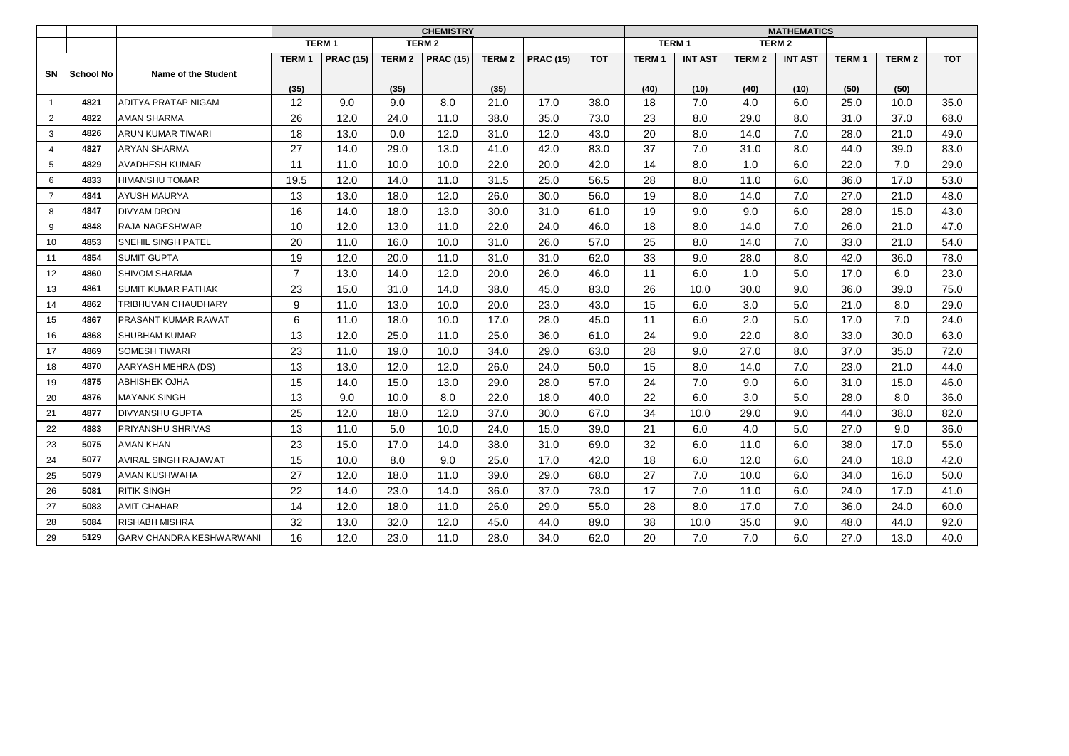|                |                  |                                 |                |                  |               | <b>CHEMISTRY</b> |                   |                  | <b>MATHEMATICS</b> |              |                |                   |                |              |               |            |
|----------------|------------------|---------------------------------|----------------|------------------|---------------|------------------|-------------------|------------------|--------------------|--------------|----------------|-------------------|----------------|--------------|---------------|------------|
|                |                  |                                 |                | <b>TERM1</b>     |               | <b>TERM 2</b>    |                   |                  |                    | <b>TERM1</b> |                |                   | <b>TERM2</b>   |              |               |            |
|                |                  |                                 | <b>TERM1</b>   | <b>PRAC (15)</b> | <b>TERM 2</b> | <b>PRAC (15)</b> | TERM <sub>2</sub> | <b>PRAC (15)</b> | <b>TOT</b>         | <b>TERM1</b> | <b>INT AST</b> | TERM <sub>2</sub> | <b>INT AST</b> | <b>TERM1</b> | <b>TERM 2</b> | <b>TOT</b> |
| SN             | <b>School No</b> | Name of the Student             |                |                  |               |                  |                   |                  |                    |              |                |                   |                |              |               |            |
|                |                  |                                 | (35)           |                  | (35)          |                  | (35)              |                  |                    | (40)         | (10)           | (40)              | (10)           | (50)         | (50)          |            |
| $\mathbf{1}$   | 4821             | ADITYA PRATAP NIGAM             | 12             | 9.0              | 9.0           | 8.0              | 21.0              | 17.0             | 38.0               | 18           | 7.0            | 4.0               | 6.0            | 25.0         | 10.0          | 35.0       |
| $\overline{2}$ | 4822             | <b>AMAN SHARMA</b>              | 26             | 12.0             | 24.0          | 11.0             | 38.0              | 35.0             | 73.0               | 23           | 8.0            | 29.0              | 8.0            | 31.0         | 37.0          | 68.0       |
| 3              | 4826             | ARUN KUMAR TIWARI               | 18             | 13.0             | 0.0           | 12.0             | 31.0              | 12.0             | 43.0               | 20           | 8.0            | 14.0              | 7.0            | 28.0         | 21.0          | 49.0       |
| $\overline{4}$ | 4827             | <b>ARYAN SHARMA</b>             | 27             | 14.0             | 29.0          | 13.0             | 41.0              | 42.0             | 83.0               | 37           | 7.0            | 31.0              | 8.0            | 44.0         | 39.0          | 83.0       |
| 5              | 4829             | <b>AVADHESH KUMAR</b>           | 11             | 11.0             | 10.0          | 10.0             | 22.0              | 20.0             | 42.0               | 14           | 8.0            | 1.0               | 6.0            | 22.0         | 7.0           | 29.0       |
| 6              | 4833             | <b>HIMANSHU TOMAR</b>           | 19.5           | 12.0             | 14.0          | 11.0             | 31.5              | 25.0             | 56.5               | 28           | 8.0            | 11.0              | 6.0            | 36.0         | 17.0          | 53.0       |
| $\overline{7}$ | 4841             | AYUSH MAURYA                    | 13             | 13.0             | 18.0          | 12.0             | 26.0              | 30.0             | 56.0               | 19           | 8.0            | 14.0              | 7.0            | 27.0         | 21.0          | 48.0       |
| 8              | 4847             | <b>DIVYAM DRON</b>              | 16             | 14.0             | 18.0          | 13.0             | 30.0              | 31.0             | 61.0               | 19           | 9.0            | 9.0               | 6.0            | 28.0         | 15.0          | 43.0       |
| 9              | 4848             | RAJA NAGESHWAR                  | 10             | 12.0             | 13.0          | 11.0             | 22.0              | 24.0             | 46.0               | 18           | 8.0            | 14.0              | 7.0            | 26.0         | 21.0          | 47.0       |
| 10             | 4853             | SNEHIL SINGH PATEL              | 20             | 11.0             | 16.0          | 10.0             | 31.0              | 26.0             | 57.0               | 25           | 8.0            | 14.0              | 7.0            | 33.0         | 21.0          | 54.0       |
| 11             | 4854             | <b>SUMIT GUPTA</b>              | 19             | 12.0             | 20.0          | 11.0             | 31.0              | 31.0             | 62.0               | 33           | 9.0            | 28.0              | 8.0            | 42.0         | 36.0          | 78.0       |
| 12             | 4860             | <b>SHIVOM SHARMA</b>            | $\overline{7}$ | 13.0             | 14.0          | 12.0             | 20.0              | 26.0             | 46.0               | 11           | 6.0            | 1.0               | 5.0            | 17.0         | 6.0           | 23.0       |
| 13             | 4861             | <b>SUMIT KUMAR PATHAK</b>       | 23             | 15.0             | 31.0          | 14.0             | 38.0              | 45.0             | 83.0               | 26           | 10.0           | 30.0              | 9.0            | 36.0         | 39.0          | 75.0       |
| 14             | 4862             | TRIBHUVAN CHAUDHARY             | 9              | 11.0             | 13.0          | 10.0             | 20.0              | 23.0             | 43.0               | 15           | 6.0            | 3.0               | 5.0            | 21.0         | 8.0           | 29.0       |
| 15             | 4867             | PRASANT KUMAR RAWAT             | 6              | 11.0             | 18.0          | 10.0             | 17.0              | 28.0             | 45.0               | 11           | 6.0            | 2.0               | 5.0            | 17.0         | 7.0           | 24.0       |
| 16             | 4868             | SHUBHAM KUMAR                   | 13             | 12.0             | 25.0          | 11.0             | 25.0              | 36.0             | 61.0               | 24           | 9.0            | 22.0              | 8.0            | 33.0         | 30.0          | 63.0       |
| 17             | 4869             | SOMESH TIWARI                   | 23             | 11.0             | 19.0          | 10.0             | 34.0              | 29.0             | 63.0               | 28           | 9.0            | 27.0              | 8.0            | 37.0         | 35.0          | 72.0       |
| 18             | 4870             | AARYASH MEHRA (DS)              | 13             | 13.0             | 12.0          | 12.0             | 26.0              | 24.0             | 50.0               | 15           | 8.0            | 14.0              | 7.0            | 23.0         | 21.0          | 44.0       |
| 19             | 4875             | ABHISHEK OJHA                   | 15             | 14.0             | 15.0          | 13.0             | 29.0              | 28.0             | 57.0               | 24           | 7.0            | 9.0               | 6.0            | 31.0         | 15.0          | 46.0       |
| 20             | 4876             | <b>MAYANK SINGH</b>             | 13             | 9.0              | 10.0          | 8.0              | 22.0              | 18.0             | 40.0               | 22           | 6.0            | 3.0               | 5.0            | 28.0         | 8.0           | 36.0       |
| 21             | 4877             | <b>DIVYANSHU GUPTA</b>          | 25             | 12.0             | 18.0          | 12.0             | 37.0              | 30.0             | 67.0               | 34           | 10.0           | 29.0              | 9.0            | 44.0         | 38.0          | 82.0       |
| 22             | 4883             | PRIYANSHU SHRIVAS               | 13             | 11.0             | 5.0           | 10.0             | 24.0              | 15.0             | 39.0               | 21           | 6.0            | 4.0               | 5.0            | 27.0         | 9.0           | 36.0       |
| 23             | 5075             | <b>AMAN KHAN</b>                | 23             | 15.0             | 17.0          | 14.0             | 38.0              | 31.0             | 69.0               | 32           | 6.0            | 11.0              | 6.0            | 38.0         | 17.0          | 55.0       |
| 24             | 5077             | <b>AVIRAL SINGH RAJAWAT</b>     | 15             | 10.0             | 8.0           | 9.0              | 25.0              | 17.0             | 42.0               | 18           | 6.0            | 12.0              | 6.0            | 24.0         | 18.0          | 42.0       |
| 25             | 5079             | AMAN KUSHWAHA                   | 27             | 12.0             | 18.0          | 11.0             | 39.0              | 29.0             | 68.0               | 27           | 7.0            | 10.0              | 6.0            | 34.0         | 16.0          | 50.0       |
| 26             | 5081             | <b>RITIK SINGH</b>              | 22             | 14.0             | 23.0          | 14.0             | 36.0              | 37.0             | 73.0               | 17           | 7.0            | 11.0              | 6.0            | 24.0         | 17.0          | 41.0       |
| 27             | 5083             | <b>AMIT CHAHAR</b>              | 14             | 12.0             | 18.0          | 11.0             | 26.0              | 29.0             | 55.0               | 28           | 8.0            | 17.0              | 7.0            | 36.0         | 24.0          | 60.0       |
| 28             | 5084             | <b>RISHABH MISHRA</b>           | 32             | 13.0             | 32.0          | 12.0             | 45.0              | 44.0             | 89.0               | 38           | 10.0           | 35.0              | 9.0            | 48.0         | 44.0          | 92.0       |
| 29             | 5129             | <b>GARV CHANDRA KESHWARWANI</b> | 16             | 12.0             | 23.0          | 11.0             | 28.0              | 34.0             | 62.0               | 20           | 7.0            | 7.0               | 6.0            | 27.0         | 13.0          | 40.0       |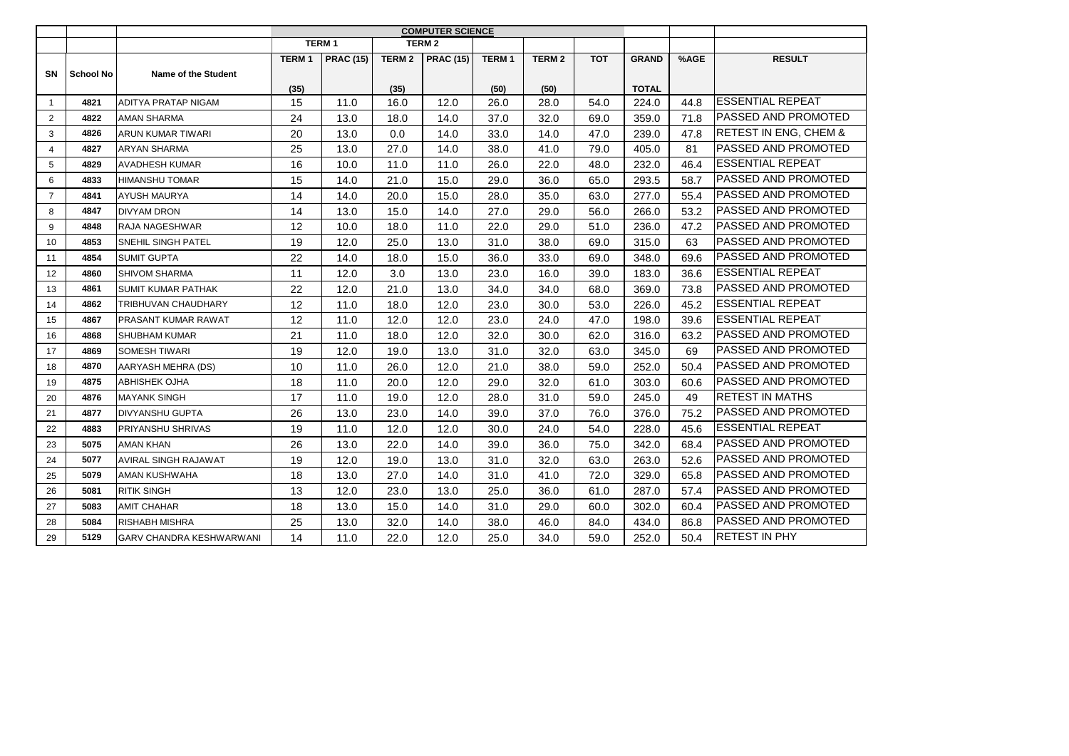|                |                  |                                 |              | TERM <sub>1</sub> |               | <b>TERM 2</b>    |                   |              |            |              |      |                                  |
|----------------|------------------|---------------------------------|--------------|-------------------|---------------|------------------|-------------------|--------------|------------|--------------|------|----------------------------------|
|                |                  |                                 | <b>TERM1</b> | <b>PRAC (15)</b>  | <b>TERM 2</b> | <b>PRAC (15)</b> | TERM <sub>1</sub> | <b>TERM2</b> | <b>TOT</b> | <b>GRAND</b> | %AGE | <b>RESULT</b>                    |
| <b>SN</b>      | <b>School No</b> | Name of the Student             |              |                   |               |                  |                   |              |            |              |      |                                  |
|                |                  |                                 | (35)         |                   | (35)          |                  | (50)              | (50)         |            | <b>TOTAL</b> |      |                                  |
| $\mathbf{1}$   | 4821             | <b>ADITYA PRATAP NIGAM</b>      | 15           | 11.0              | 16.0          | 12.0             | 26.0              | 28.0         | 54.0       | 224.0        | 44.8 | <b>ESSENTIAL REPEAT</b>          |
| $\overline{2}$ | 4822             | <b>AMAN SHARMA</b>              | 24           | 13.0              | 18.0          | 14.0             | 37.0              | 32.0         | 69.0       | 359.0        | 71.8 | <b>IPASSED AND PROMOTED</b>      |
| 3              | 4826             | ARUN KUMAR TIWARI               | 20           | 13.0              | 0.0           | 14.0             | 33.0              | 14.0         | 47.0       | 239.0        | 47.8 | <b>RETEST IN ENG, CHEM &amp;</b> |
| $\overline{4}$ | 4827             | <b>ARYAN SHARMA</b>             | 25           | 13.0              | 27.0          | 14.0             | 38.0              | 41.0         | 79.0       | 405.0        | 81   | <b>IPASSED AND PROMOTED</b>      |
| 5              | 4829             | <b>AVADHESH KUMAR</b>           | 16           | 10.0              | 11.0          | 11.0             | 26.0              | 22.0         | 48.0       | 232.0        | 46.4 | <b>ESSENTIAL REPEAT</b>          |
| 6              | 4833             | <b>HIMANSHU TOMAR</b>           | 15           | 14.0              | 21.0          | 15.0             | 29.0              | 36.0         | 65.0       | 293.5        | 58.7 | <b>IPASSED AND PROMOTED</b>      |
| $\overline{7}$ | 4841             | <b>AYUSH MAURYA</b>             | 14           | 14.0              | 20.0          | 15.0             | 28.0              | 35.0         | 63.0       | 277.0        | 55.4 | <b>IPASSED AND PROMOTED</b>      |
| 8              | 4847             | <b>DIVYAM DRON</b>              | 14           | 13.0              | 15.0          | 14.0             | 27.0              | 29.0         | 56.0       | 266.0        | 53.2 | <b>PASSED AND PROMOTED</b>       |
| 9              | 4848             | RAJA NAGESHWAR                  | 12           | 10.0              | 18.0          | 11.0             | 22.0              | 29.0         | 51.0       | 236.0        | 47.2 | <b>PASSED AND PROMOTED</b>       |
| 10             | 4853             | SNEHIL SINGH PATEL              | 19           | 12.0              | 25.0          | 13.0             | 31.0              | 38.0         | 69.0       | 315.0        | 63   | <b>IPASSED AND PROMOTED</b>      |
| 11             | 4854             | <b>SUMIT GUPTA</b>              | 22           | 14.0              | 18.0          | 15.0             | 36.0              | 33.0         | 69.0       | 348.0        | 69.6 | <b>PASSED AND PROMOTED</b>       |
| 12             | 4860             | <b>SHIVOM SHARMA</b>            | 11           | 12.0              | 3.0           | 13.0             | 23.0              | 16.0         | 39.0       | 183.0        | 36.6 | <b>ESSENTIAL REPEAT</b>          |
| 13             | 4861             | <b>SUMIT KUMAR PATHAK</b>       | 22           | 12.0              | 21.0          | 13.0             | 34.0              | 34.0         | 68.0       | 369.0        | 73.8 | <b>PASSED AND PROMOTED</b>       |
| 14             | 4862             | TRIBHUVAN CHAUDHARY             | 12           | 11.0              | 18.0          | 12.0             | 23.0              | 30.0         | 53.0       | 226.0        | 45.2 | <b>ESSENTIAL REPEAT</b>          |
| 15             | 4867             | <b>PRASANT KUMAR RAWAT</b>      | 12           | 11.0              | 12.0          | 12.0             | 23.0              | 24.0         | 47.0       | 198.0        | 39.6 | <b>IESSENTIAL REPEAT</b>         |
| 16             | 4868             | <b>SHUBHAM KUMAR</b>            | 21           | 11.0              | 18.0          | 12.0             | 32.0              | 30.0         | 62.0       | 316.0        | 63.2 | <b>PASSED AND PROMOTED</b>       |
| 17             | 4869             | <b>SOMESH TIWARI</b>            | 19           | 12.0              | 19.0          | 13.0             | 31.0              | 32.0         | 63.0       | 345.0        | 69   | <b>IPASSED AND PROMOTED</b>      |
| 18             | 4870             | AARYASH MEHRA (DS)              | 10           | 11.0              | 26.0          | 12.0             | 21.0              | 38.0         | 59.0       | 252.0        | 50.4 | <b>PASSED AND PROMOTED</b>       |
| 19             | 4875             | <b>ABHISHEK OJHA</b>            | 18           | 11.0              | 20.0          | 12.0             | 29.0              | 32.0         | 61.0       | 303.0        | 60.6 | <b>PASSED AND PROMOTED</b>       |
| 20             | 4876             | <b>MAYANK SINGH</b>             | 17           | 11.0              | 19.0          | 12.0             | 28.0              | 31.0         | 59.0       | 245.0        | 49   | <b>RETEST IN MATHS</b>           |
| 21             | 4877             | <b>DIVYANSHU GUPTA</b>          | 26           | 13.0              | 23.0          | 14.0             | 39.0              | 37.0         | 76.0       | 376.0        | 75.2 | <b>PASSED AND PROMOTED</b>       |
| 22             | 4883             | PRIYANSHU SHRIVAS               | 19           | 11.0              | 12.0          | 12.0             | 30.0              | 24.0         | 54.0       | 228.0        | 45.6 | <b>ESSENTIAL REPEAT</b>          |
| 23             | 5075             | <b>AMAN KHAN</b>                | 26           | 13.0              | 22.0          | 14.0             | 39.0              | 36.0         | 75.0       | 342.0        | 68.4 | <b>IPASSED AND PROMOTED</b>      |
| 24             | 5077             | <b>AVIRAL SINGH RAJAWAT</b>     | 19           | 12.0              | 19.0          | 13.0             | 31.0              | 32.0         | 63.0       | 263.0        | 52.6 | <b> PASSED AND PROMOTED</b>      |
| 25             | 5079             | AMAN KUSHWAHA                   | 18           | 13.0              | 27.0          | 14.0             | 31.0              | 41.0         | 72.0       | 329.0        | 65.8 | <b>IPASSED AND PROMOTED</b>      |
| 26             | 5081             | <b>RITIK SINGH</b>              | 13           | 12.0              | 23.0          | 13.0             | 25.0              | 36.0         | 61.0       | 287.0        | 57.4 | <b>IPASSED AND PROMOTED</b>      |
| 27             | 5083             | <b>AMIT CHAHAR</b>              | 18           | 13.0              | 15.0          | 14.0             | 31.0              | 29.0         | 60.0       | 302.0        | 60.4 | <b>PASSED AND PROMOTED</b>       |
| 28             | 5084             | <b>RISHABH MISHRA</b>           | 25           | 13.0              | 32.0          | 14.0             | 38.0              | 46.0         | 84.0       | 434.0        | 86.8 | <b>IPASSED AND PROMOTED</b>      |
| 29             | 5129             | <b>GARV CHANDRA KESHWARWANI</b> | 14           | 11.0              | 22.0          | 12.0             | 25.0              | 34.0         | 59.0       | 252.0        | 50.4 | <b>RETEST IN PHY</b>             |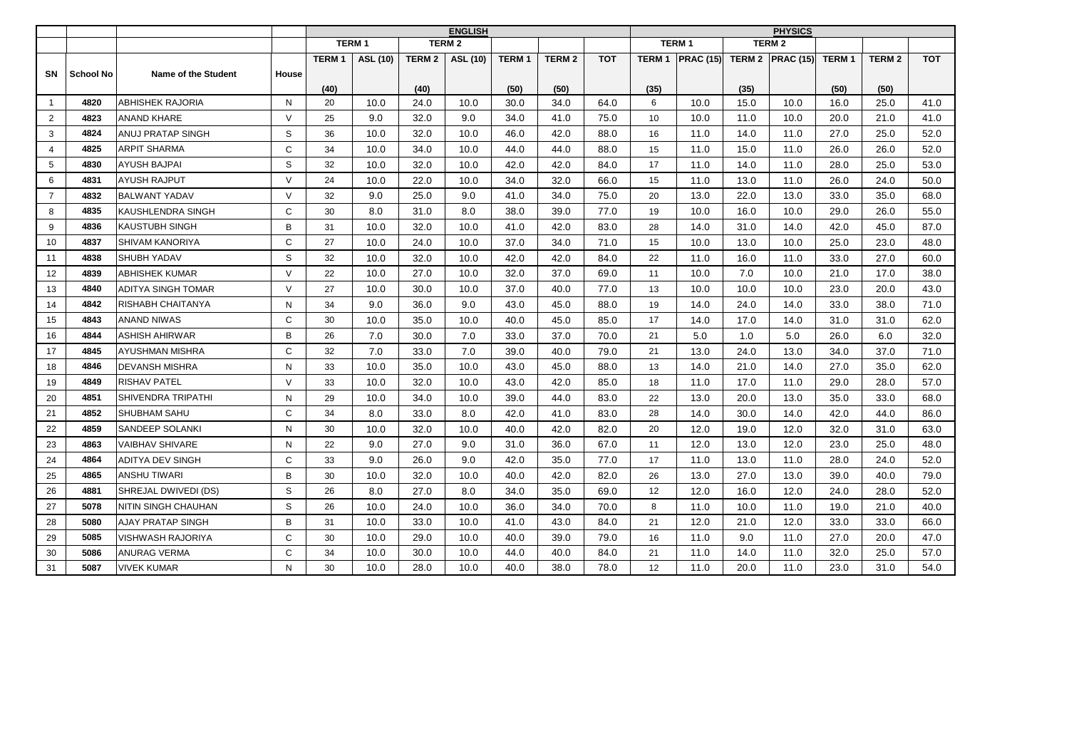|                |                  |                        |              | <b>ENGLISH</b> |                 |               |                 |              |               |            |              | <b>PHYSICS</b>   |      |                     |                   |                   |            |  |
|----------------|------------------|------------------------|--------------|----------------|-----------------|---------------|-----------------|--------------|---------------|------------|--------------|------------------|------|---------------------|-------------------|-------------------|------------|--|
|                |                  |                        |              |                | <b>TERM1</b>    |               | <b>TERM2</b>    |              |               |            |              | <b>TERM1</b>     |      | <b>TERM 2</b>       |                   |                   |            |  |
|                |                  |                        |              | <b>TERM1</b>   | <b>ASL (10)</b> | <b>TERM 2</b> | <b>ASL (10)</b> | <b>TERM1</b> | <b>TERM 2</b> | <b>TOT</b> | <b>TERM1</b> | <b>PRAC (15)</b> |      | TERM 2 $ PRAC(15) $ | TERM <sub>1</sub> | TERM <sub>2</sub> | <b>TOT</b> |  |
| SΝ             | <b>School No</b> | Name of the Student    | <b>House</b> |                |                 |               |                 |              |               |            |              |                  |      |                     |                   |                   |            |  |
|                |                  |                        |              | (40)           |                 | (40)          |                 | (50)         | (50)          |            | (35)         |                  | (35) |                     | (50)              | (50)              |            |  |
| $\mathbf{1}$   | 4820             | ABHISHEK RAJORIA       | N            | 20             | 10.0            | 24.0          | 10.0            | 30.0         | 34.0          | 64.0       | 6            | 10.0             | 15.0 | 10.0                | 16.0              | 25.0              | 41.0       |  |
| 2              | 4823             | <b>ANAND KHARE</b>     | $\vee$       | 25             | 9.0             | 32.0          | 9.0             | 34.0         | 41.0          | 75.0       | 10           | 10.0             | 11.0 | 10.0                | 20.0              | 21.0              | 41.0       |  |
| 3              | 4824             | ANUJ PRATAP SINGH      | S            | 36             | 10.0            | 32.0          | 10.0            | 46.0         | 42.0          | 88.0       | 16           | 11.0             | 14.0 | 11.0                | 27.0              | 25.0              | 52.0       |  |
| $\overline{4}$ | 4825             | <b>ARPIT SHARMA</b>    | $\mathsf{C}$ | 34             | 10.0            | 34.0          | 10.0            | 44.0         | 44.0          | 88.0       | 15           | 11.0             | 15.0 | 11.0                | 26.0              | 26.0              | 52.0       |  |
| 5              | 4830             | <b>AYUSH BAJPAI</b>    | S            | 32             | 10.0            | 32.0          | 10.0            | 42.0         | 42.0          | 84.0       | 17           | 11.0             | 14.0 | 11.0                | 28.0              | 25.0              | 53.0       |  |
| 6              | 4831             | AYUSH RAJPUT           | $\vee$       | 24             | 10.0            | 22.0          | 10.0            | 34.0         | 32.0          | 66.0       | 15           | 11.0             | 13.0 | 11.0                | 26.0              | 24.0              | 50.0       |  |
| $\overline{7}$ | 4832             | <b>BALWANT YADAV</b>   | $\vee$       | 32             | 9.0             | 25.0          | 9.0             | 41.0         | 34.0          | 75.0       | 20           | 13.0             | 22.0 | 13.0                | 33.0              | 35.0              | 68.0       |  |
| 8              | 4835             | KAUSHLENDRA SINGH      | C            | 30             | 8.0             | 31.0          | 8.0             | 38.0         | 39.0          | 77.0       | 19           | 10.0             | 16.0 | 10.0                | 29.0              | 26.0              | 55.0       |  |
| 9              | 4836             | <b>KAUSTUBH SINGH</b>  | B            | 31             | 10.0            | 32.0          | 10.0            | 41.0         | 42.0          | 83.0       | 28           | 14.0             | 31.0 | 14.0                | 42.0              | 45.0              | 87.0       |  |
| 10             | 4837             | SHIVAM KANORIYA        | $\mathbf C$  | 27             | 10.0            | 24.0          | 10.0            | 37.0         | 34.0          | 71.0       | 15           | 10.0             | 13.0 | 10.0                | 25.0              | 23.0              | 48.0       |  |
| 11             | 4838             | <b>SHUBH YADAV</b>     | S            | 32             | 10.0            | 32.0          | 10.0            | 42.0         | 42.0          | 84.0       | 22           | 11.0             | 16.0 | 11.0                | 33.0              | 27.0              | 60.0       |  |
| 12             | 4839             | ABHISHEK KUMAR         | $\vee$       | 22             | 10.0            | 27.0          | 10.0            | 32.0         | 37.0          | 69.0       | 11           | 10.0             | 7.0  | 10.0                | 21.0              | 17.0              | 38.0       |  |
| 13             | 4840             | ADITYA SINGH TOMAR     | $\vee$       | 27             | 10.0            | 30.0          | 10.0            | 37.0         | 40.0          | 77.0       | 13           | 10.0             | 10.0 | 10.0                | 23.0              | 20.0              | 43.0       |  |
| 14             | 4842             | RISHABH CHAITANYA      | N            | 34             | 9.0             | 36.0          | 9.0             | 43.0         | 45.0          | 88.0       | 19           | 14.0             | 24.0 | 14.0                | 33.0              | 38.0              | 71.0       |  |
| 15             | 4843             | <b>ANAND NIWAS</b>     | $\mathsf{C}$ | 30             | 10.0            | 35.0          | 10.0            | 40.0         | 45.0          | 85.0       | 17           | 14.0             | 17.0 | 14.0                | 31.0              | 31.0              | 62.0       |  |
| 16             | 4844             | ASHISH AHIRWAR         | B            | 26             | 7.0             | 30.0          | 7.0             | 33.0         | 37.0          | 70.0       | 21           | 5.0              | 1.0  | 5.0                 | 26.0              | 6.0               | 32.0       |  |
| 17             | 4845             | AYUSHMAN MISHRA        | C            | 32             | 7.0             | 33.0          | 7.0             | 39.0         | 40.0          | 79.0       | 21           | 13.0             | 24.0 | 13.0                | 34.0              | 37.0              | 71.0       |  |
| 18             | 4846             | DEVANSH MISHRA         | N            | 33             | 10.0            | 35.0          | 10.0            | 43.0         | 45.0          | 88.0       | 13           | 14.0             | 21.0 | 14.0                | 27.0              | 35.0              | 62.0       |  |
| 19             | 4849             | <b>RISHAV PATEL</b>    | $\vee$       | 33             | 10.0            | 32.0          | 10.0            | 43.0         | 42.0          | 85.0       | 18           | 11.0             | 17.0 | 11.0                | 29.0              | 28.0              | 57.0       |  |
| 20             | 4851             | SHIVENDRA TRIPATHI     | N            | 29             | 10.0            | 34.0          | 10.0            | 39.0         | 44.0          | 83.0       | 22           | 13.0             | 20.0 | 13.0                | 35.0              | 33.0              | 68.0       |  |
| 21             | 4852             | SHUBHAM SAHU           | $\mathsf{C}$ | 34             | 8.0             | 33.0          | 8.0             | 42.0         | 41.0          | 83.0       | 28           | 14.0             | 30.0 | 14.0                | 42.0              | 44.0              | 86.0       |  |
| 22             | 4859             | <b>SANDEEP SOLANKI</b> | N            | 30             | 10.0            | 32.0          | 10.0            | 40.0         | 42.0          | 82.0       | 20           | 12.0             | 19.0 | 12.0                | 32.0              | 31.0              | 63.0       |  |
| 23             | 4863             | <b>VAIBHAV SHIVARE</b> | N            | 22             | 9.0             | 27.0          | 9.0             | 31.0         | 36.0          | 67.0       | 11           | 12.0             | 13.0 | 12.0                | 23.0              | 25.0              | 48.0       |  |
| 24             | 4864             | ADITYA DEV SINGH       | $\mathbf C$  | 33             | 9.0             | 26.0          | 9.0             | 42.0         | 35.0          | 77.0       | 17           | 11.0             | 13.0 | 11.0                | 28.0              | 24.0              | 52.0       |  |
| 25             | 4865             | ANSHU TIWARI           | B            | 30             | 10.0            | 32.0          | 10.0            | 40.0         | 42.0          | 82.0       | 26           | 13.0             | 27.0 | 13.0                | 39.0              | 40.0              | 79.0       |  |
| 26             | 4881             | SHREJAL DWIVEDI (DS)   | $\mathsf S$  | 26             | 8.0             | 27.0          | 8.0             | 34.0         | 35.0          | 69.0       | 12           | 12.0             | 16.0 | 12.0                | 24.0              | 28.0              | 52.0       |  |
| 27             | 5078             | NITIN SINGH CHAUHAN    | $\mathsf S$  | 26             | 10.0            | 24.0          | 10.0            | 36.0         | 34.0          | 70.0       | 8            | 11.0             | 10.0 | 11.0                | 19.0              | 21.0              | 40.0       |  |
| 28             | 5080             | AJAY PRATAP SINGH      | B            | 31             | 10.0            | 33.0          | 10.0            | 41.0         | 43.0          | 84.0       | 21           | 12.0             | 21.0 | 12.0                | 33.0              | 33.0              | 66.0       |  |
| 29             | 5085             | VISHWASH RAJORIYA      | $\mathsf{C}$ | 30             | 10.0            | 29.0          | 10.0            | 40.0         | 39.0          | 79.0       | 16           | 11.0             | 9.0  | 11.0                | 27.0              | 20.0              | 47.0       |  |
| 30             | 5086             | ANURAG VERMA           | $\mathsf{C}$ | 34             | 10.0            | 30.0          | 10.0            | 44.0         | 40.0          | 84.0       | 21           | 11.0             | 14.0 | 11.0                | 32.0              | 25.0              | 57.0       |  |
| 31             | 5087             | <b>VIVEK KUMAR</b>     | N            | 30             | 10.0            | 28.0          | 10.0            | 40.0         | 38.0          | 78.0       | 12           | 11.0             | 20.0 | 11.0                | 23.0              | 31.0              | 54.0       |  |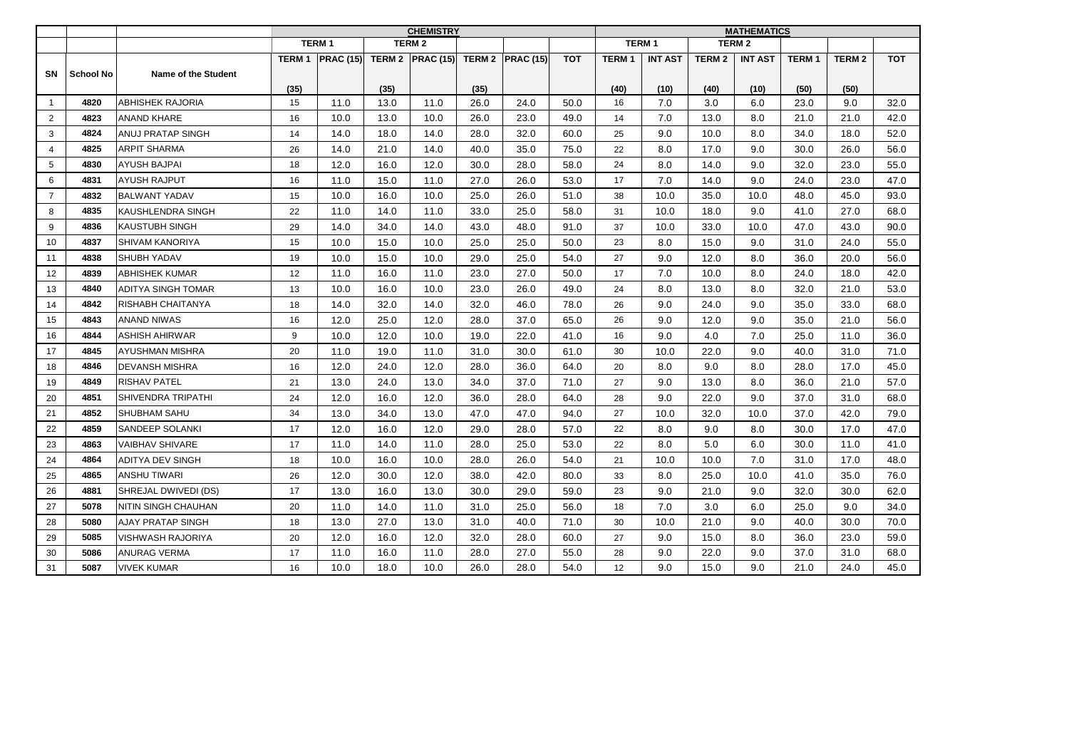|                |           |                           | <b>CHEMISTRY</b> |                                   |      |              |      |                  |            | <b>MATHEMATICS</b>            |                |                   |                |              |              |            |
|----------------|-----------|---------------------------|------------------|-----------------------------------|------|--------------|------|------------------|------------|-------------------------------|----------------|-------------------|----------------|--------------|--------------|------------|
|                |           |                           |                  | <b>TERM1</b>                      |      | <b>TERM2</b> |      |                  |            | <b>TERM1</b><br><b>TERM 2</b> |                |                   |                |              |              |            |
|                |           |                           | <b>TERM1</b>     | <b>PRAC (15) TERM 2 PRAC (15)</b> |      |              |      | TERM 2 PRAC (15) | <b>TOT</b> | <b>TERM1</b>                  | <b>INT AST</b> | TERM <sub>2</sub> | <b>INT AST</b> | <b>TERM1</b> | <b>TERM2</b> | <b>TOT</b> |
| SN             | School No | Name of the Student       |                  |                                   |      |              |      |                  |            |                               |                |                   |                |              |              |            |
|                |           |                           | (35)             |                                   | (35) |              | (35) |                  |            | (40)                          | (10)           | (40)              | (10)           | (50)         | (50)         |            |
| $\mathbf{1}$   | 4820      | <b>ABHISHEK RAJORIA</b>   | 15               | 11.0                              | 13.0 | 11.0         | 26.0 | 24.0             | 50.0       | 16                            | 7.0            | 3.0               | 6.0            | 23.0         | 9.0          | 32.0       |
| $\overline{2}$ | 4823      | <b>ANAND KHARE</b>        | 16               | 10.0                              | 13.0 | 10.0         | 26.0 | 23.0             | 49.0       | 14                            | 7.0            | 13.0              | 8.0            | 21.0         | 21.0         | 42.0       |
| 3              | 4824      | <b>ANUJ PRATAP SINGH</b>  | 14               | 14.0                              | 18.0 | 14.0         | 28.0 | 32.0             | 60.0       | 25                            | 9.0            | 10.0              | 8.0            | 34.0         | 18.0         | 52.0       |
| $\overline{4}$ | 4825      | <b>ARPIT SHARMA</b>       | 26               | 14.0                              | 21.0 | 14.0         | 40.0 | 35.0             | 75.0       | 22                            | 8.0            | 17.0              | 9.0            | 30.0         | 26.0         | 56.0       |
| 5              | 4830      | <b>AYUSH BAJPAI</b>       | 18               | 12.0                              | 16.0 | 12.0         | 30.0 | 28.0             | 58.0       | 24                            | 8.0            | 14.0              | 9.0            | 32.0         | 23.0         | 55.0       |
| 6              | 4831      | <b>AYUSH RAJPUT</b>       | 16               | 11.0                              | 15.0 | 11.0         | 27.0 | 26.0             | 53.0       | 17                            | 7.0            | 14.0              | 9.0            | 24.0         | 23.0         | 47.0       |
| $\overline{7}$ | 4832      | <b>BALWANT YADAV</b>      | 15               | 10.0                              | 16.0 | 10.0         | 25.0 | 26.0             | 51.0       | 38                            | 10.0           | 35.0              | 10.0           | 48.0         | 45.0         | 93.0       |
| 8              | 4835      | KAUSHLENDRA SINGH         | 22               | 11.0                              | 14.0 | 11.0         | 33.0 | 25.0             | 58.0       | 31                            | 10.0           | 18.0              | 9.0            | 41.0         | 27.0         | 68.0       |
| 9              | 4836      | <b>KAUSTUBH SINGH</b>     | 29               | 14.0                              | 34.0 | 14.0         | 43.0 | 48.0             | 91.0       | 37                            | 10.0           | 33.0              | 10.0           | 47.0         | 43.0         | 90.0       |
| 10             | 4837      | SHIVAM KANORIYA           | 15               | 10.0                              | 15.0 | 10.0         | 25.0 | 25.0             | 50.0       | 23                            | 8.0            | 15.0              | 9.0            | 31.0         | 24.0         | 55.0       |
| 11             | 4838      | <b>SHUBH YADAV</b>        | 19               | 10.0                              | 15.0 | 10.0         | 29.0 | 25.0             | 54.0       | 27                            | 9.0            | 12.0              | 8.0            | 36.0         | 20.0         | 56.0       |
| 12             | 4839      | <b>ABHISHEK KUMAR</b>     | 12               | 11.0                              | 16.0 | 11.0         | 23.0 | 27.0             | 50.0       | 17                            | 7.0            | 10.0              | 8.0            | 24.0         | 18.0         | 42.0       |
| 13             | 4840      | <b>ADITYA SINGH TOMAR</b> | 13               | 10.0                              | 16.0 | 10.0         | 23.0 | 26.0             | 49.0       | 24                            | 8.0            | 13.0              | 8.0            | 32.0         | 21.0         | 53.0       |
| 14             | 4842      | RISHABH CHAITANYA         | 18               | 14.0                              | 32.0 | 14.0         | 32.0 | 46.0             | 78.0       | 26                            | 9.0            | 24.0              | 9.0            | 35.0         | 33.0         | 68.0       |
| 15             | 4843      | <b>ANAND NIWAS</b>        | 16               | 12.0                              | 25.0 | 12.0         | 28.0 | 37.0             | 65.0       | 26                            | 9.0            | 12.0              | 9.0            | 35.0         | 21.0         | 56.0       |
| 16             | 4844      | <b>ASHISH AHIRWAR</b>     | 9                | 10.0                              | 12.0 | 10.0         | 19.0 | 22.0             | 41.0       | 16                            | 9.0            | 4.0               | 7.0            | 25.0         | 11.0         | 36.0       |
| 17             | 4845      | <b>AYUSHMAN MISHRA</b>    | 20               | 11.0                              | 19.0 | 11.0         | 31.0 | 30.0             | 61.0       | 30                            | 10.0           | 22.0              | 9.0            | 40.0         | 31.0         | 71.0       |
| 18             | 4846      | <b>DEVANSH MISHRA</b>     | 16               | 12.0                              | 24.0 | 12.0         | 28.0 | 36.0             | 64.0       | 20                            | 8.0            | 9.0               | 8.0            | 28.0         | 17.0         | 45.0       |
| 19             | 4849      | <b>RISHAV PATEL</b>       | 21               | 13.0                              | 24.0 | 13.0         | 34.0 | 37.0             | 71.0       | 27                            | 9.0            | 13.0              | 8.0            | 36.0         | 21.0         | 57.0       |
| 20             | 4851      | SHIVENDRA TRIPATHI        | 24               | 12.0                              | 16.0 | 12.0         | 36.0 | 28.0             | 64.0       | 28                            | 9.0            | 22.0              | 9.0            | 37.0         | 31.0         | 68.0       |
| 21             | 4852      | <b>SHUBHAM SAHU</b>       | 34               | 13.0                              | 34.0 | 13.0         | 47.0 | 47.0             | 94.0       | 27                            | 10.0           | 32.0              | 10.0           | 37.0         | 42.0         | 79.0       |
| 22             | 4859      | SANDEEP SOLANKI           | 17               | 12.0                              | 16.0 | 12.0         | 29.0 | 28.0             | 57.0       | 22                            | 8.0            | 9.0               | 8.0            | 30.0         | 17.0         | 47.0       |
| 23             | 4863      | <b>VAIBHAV SHIVARE</b>    | 17               | 11.0                              | 14.0 | 11.0         | 28.0 | 25.0             | 53.0       | 22                            | 8.0            | 5.0               | 6.0            | 30.0         | 11.0         | 41.0       |
| 24             | 4864      | <b>ADITYA DEV SINGH</b>   | 18               | 10.0                              | 16.0 | 10.0         | 28.0 | 26.0             | 54.0       | 21                            | 10.0           | 10.0              | 7.0            | 31.0         | 17.0         | 48.0       |
| 25             | 4865      | <b>ANSHU TIWARI</b>       | 26               | 12.0                              | 30.0 | 12.0         | 38.0 | 42.0             | 80.0       | 33                            | 8.0            | 25.0              | 10.0           | 41.0         | 35.0         | 76.0       |
| 26             | 4881      | SHREJAL DWIVEDI (DS)      | 17               | 13.0                              | 16.0 | 13.0         | 30.0 | 29.0             | 59.0       | 23                            | 9.0            | 21.0              | 9.0            | 32.0         | 30.0         | 62.0       |
| 27             | 5078      | NITIN SINGH CHAUHAN       | 20               | 11.0                              | 14.0 | 11.0         | 31.0 | 25.0             | 56.0       | 18                            | 7.0            | 3.0               | 6.0            | 25.0         | 9.0          | 34.0       |
| 28             | 5080      | <b>AJAY PRATAP SINGH</b>  | 18               | 13.0                              | 27.0 | 13.0         | 31.0 | 40.0             | 71.0       | 30                            | 10.0           | 21.0              | 9.0            | 40.0         | 30.0         | 70.0       |
| 29             | 5085      | <b>VISHWASH RAJORIYA</b>  | 20               | 12.0                              | 16.0 | 12.0         | 32.0 | 28.0             | 60.0       | 27                            | 9.0            | 15.0              | 8.0            | 36.0         | 23.0         | 59.0       |
| 30             | 5086      | <b>ANURAG VERMA</b>       | 17               | 11.0                              | 16.0 | 11.0         | 28.0 | 27.0             | 55.0       | 28                            | 9.0            | 22.0              | 9.0            | 37.0         | 31.0         | 68.0       |
| 31             | 5087      | <b>VIVEK KUMAR</b>        | 16               | 10.0                              | 18.0 | 10.0         | 26.0 | 28.0             | 54.0       | 12                            | 9.0            | 15.0              | 9.0            | 21.0         | 24.0         | 45.0       |